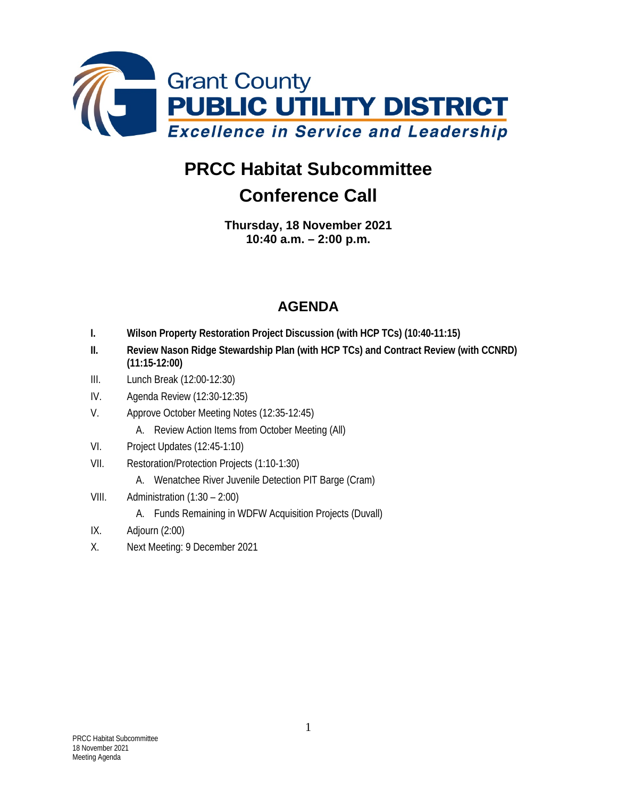

## **PRCC Habitat Subcommittee Conference Call**

**Thursday, 18 November 2021 10:40 a.m. – 2:00 p.m.**

## **AGENDA**

- **I. Wilson Property Restoration Project Discussion (with HCP TCs) (10:40-11:15)**
- **II. Review Nason Ridge Stewardship Plan (with HCP TCs) and Contract Review (with CCNRD) (11:15-12:00)**
- III. Lunch Break (12:00-12:30)
- IV. Agenda Review (12:30-12:35)
- V. Approve October Meeting Notes (12:35-12:45)
	- A. Review Action Items from October Meeting (All)
- VI. Project Updates (12:45-1:10)
- VII. Restoration/Protection Projects (1:10-1:30)
	- A. Wenatchee River Juvenile Detection PIT Barge (Cram)
- VIII. Administration (1:30 2:00)
	- A. Funds Remaining in WDFW Acquisition Projects (Duvall)
- IX. Adjourn (2:00)
- X. Next Meeting: 9 December 2021